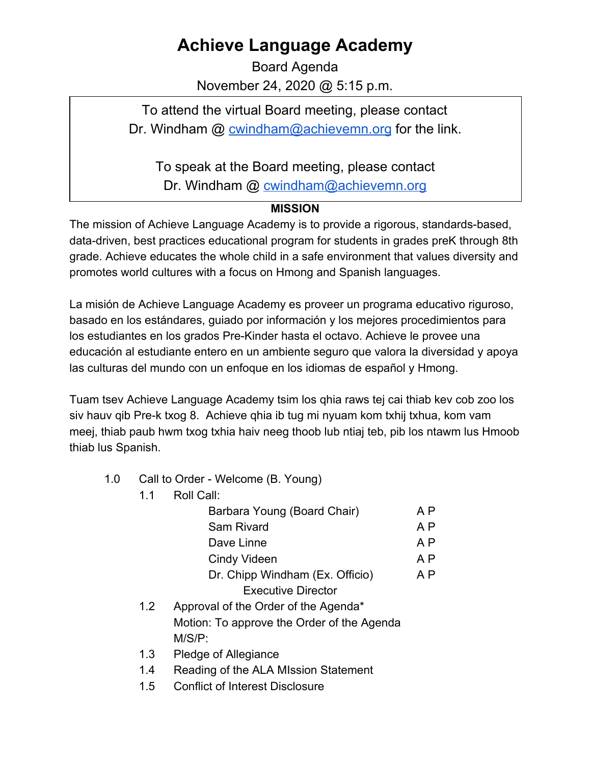## **Achieve Language Academy**

Board Agenda November 24, 2020 @ 5:15 p.m.

To attend the virtual Board meeting, please contact Dr. Windham @ [cwindham@achievemn.org](mailto:cwindham@achievemn.org) for the link.

To speak at the Board meeting, please contact

Dr. Windham @ [cwindham@achievemn.org](mailto:cwindham@achievemn.org)

## **MISSION**

The mission of Achieve Language Academy is to provide a rigorous, standards-based, data-driven, best practices educational program for students in grades preK through 8th grade. Achieve educates the whole child in a safe environment that values diversity and promotes world cultures with a focus on Hmong and Spanish languages.

La misión de Achieve Language Academy es proveer un programa educativo riguroso, basado en los estándares, guiado por información y los mejores procedimientos para los estudiantes en los grados Pre-Kinder hasta el octavo. Achieve le provee una educación al estudiante entero en un ambiente seguro que valora la diversidad y apoya las culturas del mundo con un enfoque en los idiomas de español y Hmong.

Tuam tsev Achieve Language Academy tsim los qhia raws tej cai thiab kev cob zoo los siv hauv qib Pre-k txog 8. Achieve qhia ib tug mi nyuam kom txhij txhua, kom vam meej, thiab paub hwm txog txhia haiv neeg thoob lub ntiaj teb, pib los ntawm lus Hmoob thiab lus Spanish.

- 1.0 Call to Order Welcome (B. Young)
	- 1.1 Roll Call:

| A P |
|-----|
| A P |
| A P |
| A P |
| A P |
|     |
|     |

- 1.2 Approval of the Order of the Agenda\* Motion: To approve the Order of the Agenda M/S/P:
- 1.3 Pledge of Allegiance
- 1.4 Reading of the ALA MIssion Statement
- 1.5 Conflict of Interest Disclosure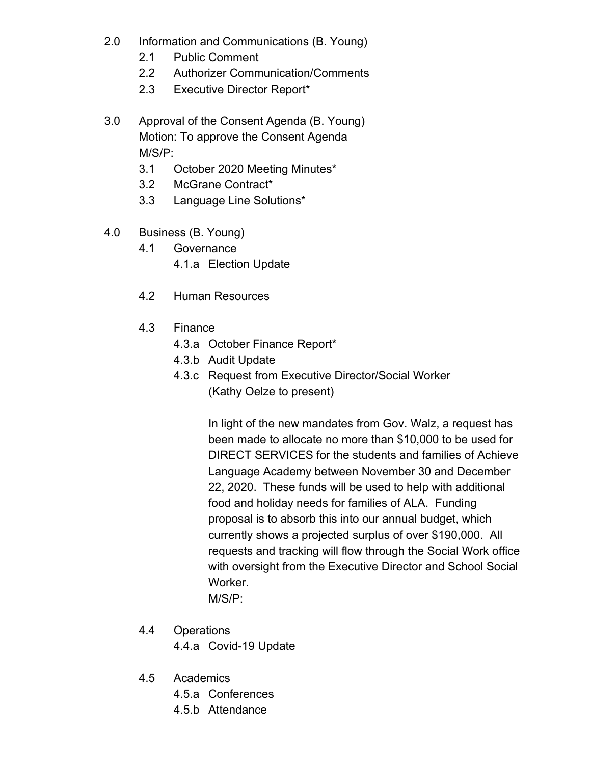- 2.0 Information and Communications (B. Young)
	- 2.1 Public Comment
	- 2.2 Authorizer Communication/Comments
	- 2.3 Executive Director Report\*
- 3.0 Approval of the Consent Agenda (B. Young) Motion: To approve the Consent Agenda M/S/P:
	- 3.1 October 2020 Meeting Minutes\*
	- 3.2 McGrane Contract\*
	- 3.3 Language Line Solutions\*
- 4.0 Business (B. Young)
	- 4.1 Governance
		- 4.1.a Election Update
	- 4.2 Human Resources
	- 4.3 Finance
		- 4.3.a October Finance Report\*
		- 4.3.b Audit Update
		- 4.3.c Request from Executive Director/Social Worker (Kathy Oelze to present)

In light of the new mandates from Gov. Walz, a request has been made to allocate no more than \$10,000 to be used for DIRECT SERVICES for the students and families of Achieve Language Academy between November 30 and December 22, 2020. These funds will be used to help with additional food and holiday needs for families of ALA. Funding proposal is to absorb this into our annual budget, which currently shows a projected surplus of over \$190,000. All requests and tracking will flow through the Social Work office with oversight from the Executive Director and School Social Worker. M/S/P:

- 4.4 Operations 4.4.a Covid-19 Update
- 4.5 Academics
	- 4.5.a Conferences
	- 4.5.b Attendance